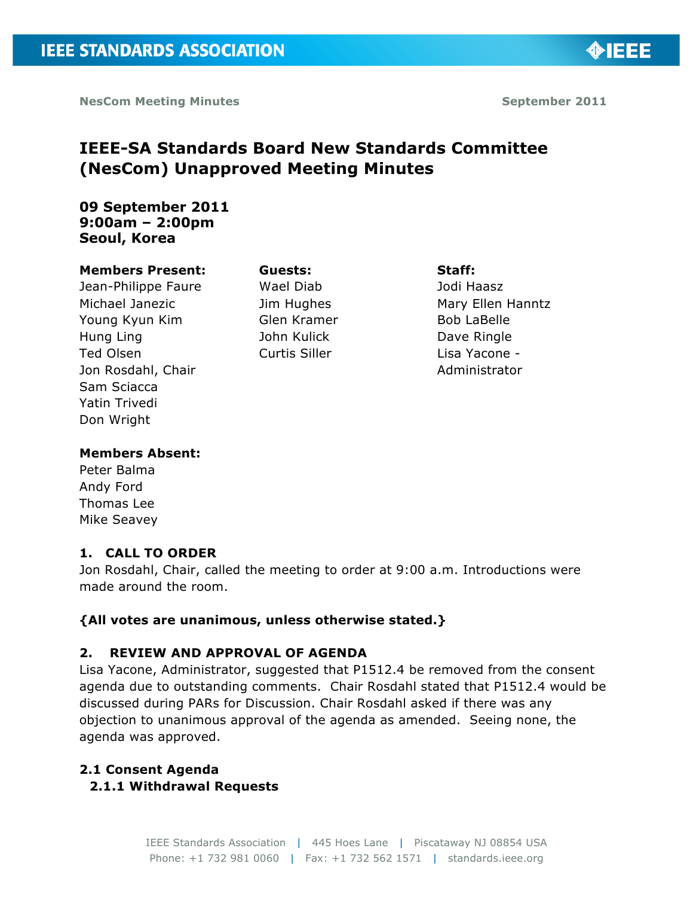◈IEEE

# **IEEE-SA Standards Board New Standards Committee (NesCom) Unapproved Meeting Minutes**

# **09 September 2011 9:00am – 2:00pm Seoul, Korea**

#### **Members Present:**

Jean-Philippe Faure Michael Janezic Young Kyun Kim Hung Ling Ted Olsen Jon Rosdahl, Chair Sam Sciacca Yatin Trivedi Don Wright

Wael Diab Jim Hughes Glen Kramer John Kulick Curtis Siller

**Guests:**

**Staff:** Jodi Haasz Mary Ellen Hanntz Bob LaBelle Dave Ringle Lisa Yacone - Administrator

#### **Members Absent:**

Peter Balma Andy Ford Thomas Lee Mike Seavey

# **1. CALL TO ORDER**

Jon Rosdahl, Chair, called the meeting to order at 9:00 a.m. Introductions were made around the room.

# **{All votes are unanimous, unless otherwise stated.}**

# **2. REVIEW AND APPROVAL OF AGENDA**

Lisa Yacone, Administrator, suggested that P1512.4 be removed from the consent agenda due to outstanding comments. Chair Rosdahl stated that P1512.4 would be discussed during PARs for Discussion. Chair Rosdahl asked if there was any objection to unanimous approval of the agenda as amended. Seeing none, the agenda was approved.

# **2.1 Consent Agenda**

# **2.1.1 Withdrawal Requests**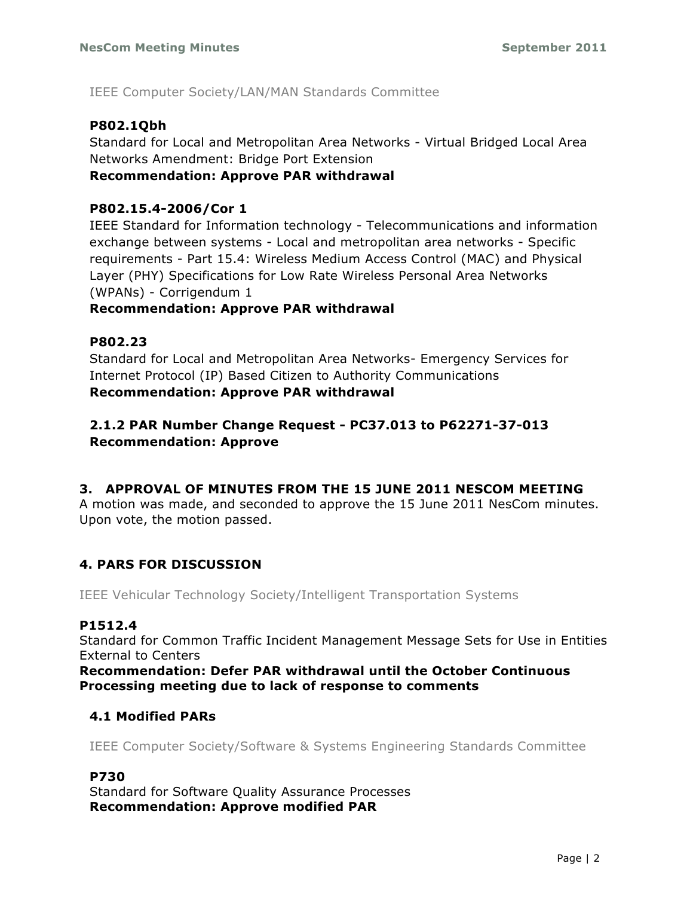IEEE Computer Society/LAN/MAN Standards Committee

# **P802.1Qbh**

Standard for Local and Metropolitan Area Networks - Virtual Bridged Local Area Networks Amendment: Bridge Port Extension

**Recommendation: Approve PAR withdrawal**

# **P802.15.4-2006/Cor 1**

IEEE Standard for Information technology - Telecommunications and information exchange between systems - Local and metropolitan area networks - Specific requirements - Part 15.4: Wireless Medium Access Control (MAC) and Physical Layer (PHY) Specifications for Low Rate Wireless Personal Area Networks (WPANs) - Corrigendum 1

# **Recommendation: Approve PAR withdrawal**

# **P802.23**

Standard for Local and Metropolitan Area Networks- Emergency Services for Internet Protocol (IP) Based Citizen to Authority Communications **Recommendation: Approve PAR withdrawal**

# **2.1.2 PAR Number Change Request - PC37.013 to P62271-37-013 Recommendation: Approve**

# **3. APPROVAL OF MINUTES FROM THE 15 JUNE 2011 NESCOM MEETING**

A motion was made, and seconded to approve the 15 June 2011 NesCom minutes. Upon vote, the motion passed.

# **4. PARS FOR DISCUSSION**

IEEE Vehicular Technology Society/Intelligent Transportation Systems

# **P1512.4**

Standard for Common Traffic Incident Management Message Sets for Use in Entities External to Centers

**Recommendation: Defer PAR withdrawal until the October Continuous Processing meeting due to lack of response to comments**

# **4.1 Modified PARs**

IEEE Computer Society/Software & Systems Engineering Standards Committee

# **P730**

Standard for Software Quality Assurance Processes **Recommendation: Approve modified PAR**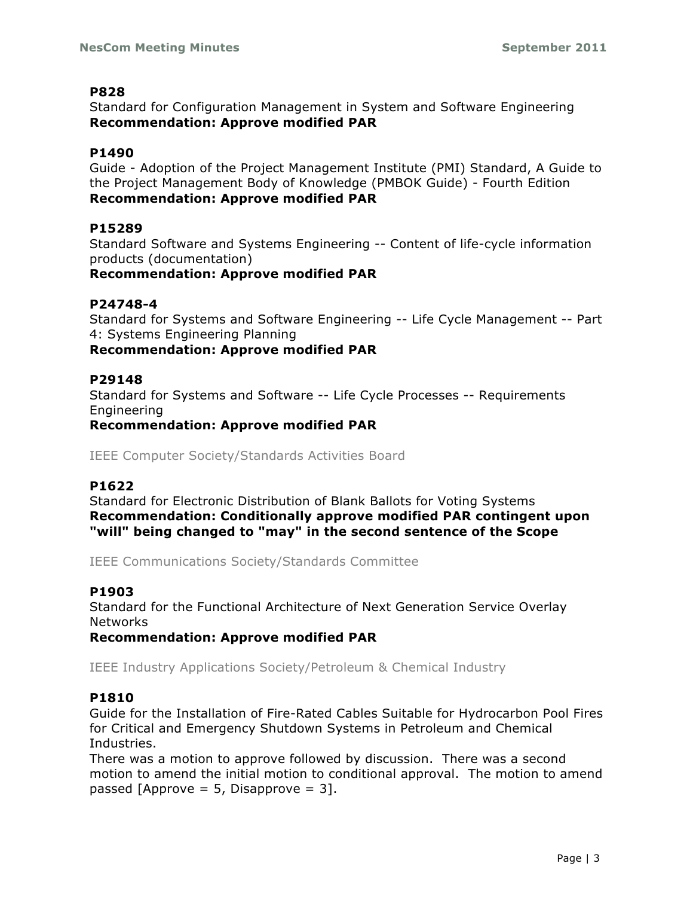Standard for Configuration Management in System and Software Engineering **Recommendation: Approve modified PAR**

# **P1490**

Guide - Adoption of the Project Management Institute (PMI) Standard, A Guide to the Project Management Body of Knowledge (PMBOK Guide) - Fourth Edition **Recommendation: Approve modified PAR**

# **P15289**

Standard Software and Systems Engineering -- Content of life-cycle information products (documentation)

# **Recommendation: Approve modified PAR**

# **P24748-4**

Standard for Systems and Software Engineering -- Life Cycle Management -- Part 4: Systems Engineering Planning

# **Recommendation: Approve modified PAR**

# **P29148**

Standard for Systems and Software -- Life Cycle Processes -- Requirements Engineering

# **Recommendation: Approve modified PAR**

IEEE Computer Society/Standards Activities Board

# **P1622**

Standard for Electronic Distribution of Blank Ballots for Voting Systems **Recommendation: Conditionally approve modified PAR contingent upon "will" being changed to "may" in the second sentence of the Scope**

IEEE Communications Society/Standards Committee

# **P1903**

Standard for the Functional Architecture of Next Generation Service Overlay **Networks** 

**Recommendation: Approve modified PAR**

IEEE Industry Applications Society/Petroleum & Chemical Industry

# **P1810**

Guide for the Installation of Fire-Rated Cables Suitable for Hydrocarbon Pool Fires for Critical and Emergency Shutdown Systems in Petroleum and Chemical Industries.

There was a motion to approve followed by discussion. There was a second motion to amend the initial motion to conditional approval. The motion to amend passed [Approve = 5, Disapprove = 3].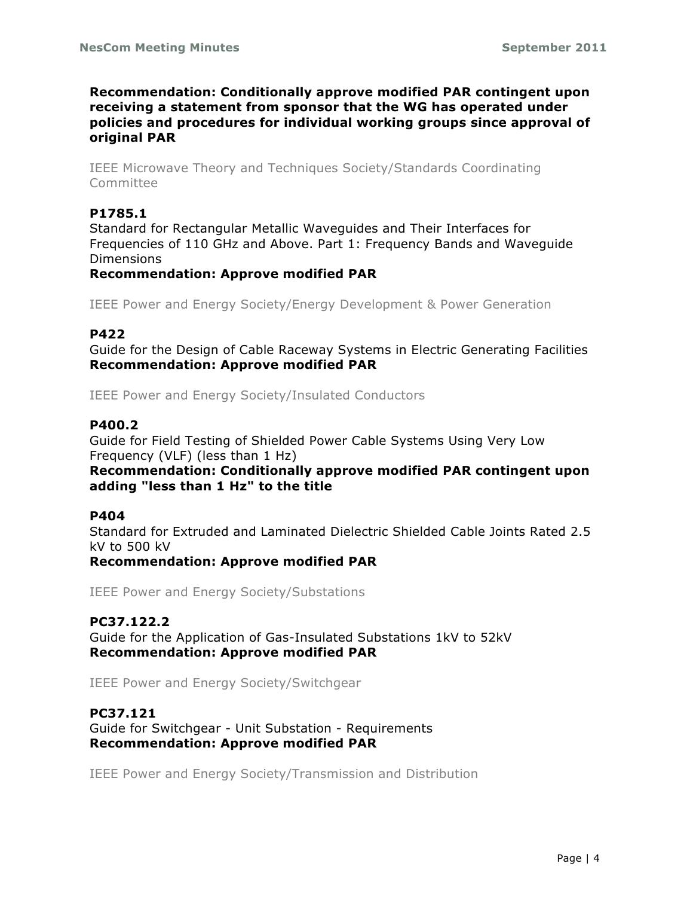**Recommendation: Conditionally approve modified PAR contingent upon receiving a statement from sponsor that the WG has operated under policies and procedures for individual working groups since approval of original PAR**

IEEE Microwave Theory and Techniques Society/Standards Coordinating Committee

# **P1785.1**

Standard for Rectangular Metallic Waveguides and Their Interfaces for Frequencies of 110 GHz and Above. Part 1: Frequency Bands and Waveguide **Dimensions** 

#### **Recommendation: Approve modified PAR**

IEEE Power and Energy Society/Energy Development & Power Generation

#### **P422**

Guide for the Design of Cable Raceway Systems in Electric Generating Facilities **Recommendation: Approve modified PAR**

IEEE Power and Energy Society/Insulated Conductors

#### **P400.2**

Guide for Field Testing of Shielded Power Cable Systems Using Very Low Frequency (VLF) (less than 1 Hz) **Recommendation: Conditionally approve modified PAR contingent upon** 

# **adding "less than 1 Hz" to the title**

#### **P404**

Standard for Extruded and Laminated Dielectric Shielded Cable Joints Rated 2.5 kV to 500 kV

**Recommendation: Approve modified PAR**

IEEE Power and Energy Society/Substations

#### **PC37.122.2**

Guide for the Application of Gas-Insulated Substations 1kV to 52kV **Recommendation: Approve modified PAR**

IEEE Power and Energy Society/Switchgear

#### **PC37.121**

Guide for Switchgear - Unit Substation - Requirements **Recommendation: Approve modified PAR**

IEEE Power and Energy Society/Transmission and Distribution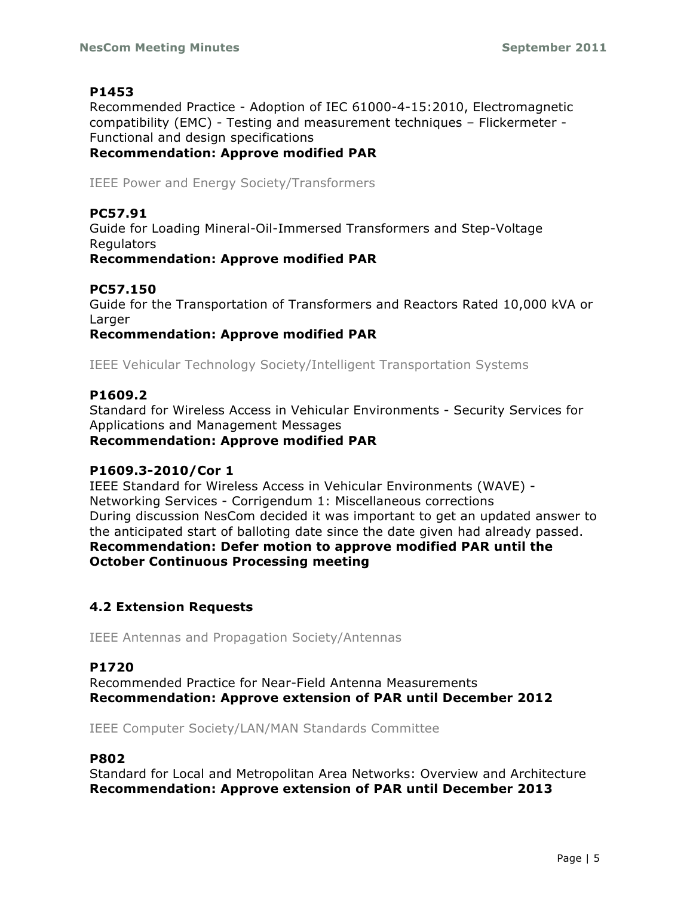Recommended Practice - Adoption of IEC 61000-4-15:2010, Electromagnetic compatibility (EMC) - Testing and measurement techniques – Flickermeter - Functional and design specifications **Recommendation: Approve modified PAR**

IEEE Power and Energy Society/Transformers

# **PC57.91**

Guide for Loading Mineral-Oil-Immersed Transformers and Step-Voltage Regulators

**Recommendation: Approve modified PAR**

# **PC57.150**

Guide for the Transportation of Transformers and Reactors Rated 10,000 kVA or Larger

**Recommendation: Approve modified PAR**

IEEE Vehicular Technology Society/Intelligent Transportation Systems

# **P1609.2**

Standard for Wireless Access in Vehicular Environments - Security Services for Applications and Management Messages

**Recommendation: Approve modified PAR**

#### **P1609.3-2010/Cor 1**

IEEE Standard for Wireless Access in Vehicular Environments (WAVE) - Networking Services - Corrigendum 1: Miscellaneous corrections During discussion NesCom decided it was important to get an updated answer to the anticipated start of balloting date since the date given had already passed. **Recommendation: Defer motion to approve modified PAR until the October Continuous Processing meeting**

# **4.2 Extension Requests**

IEEE Antennas and Propagation Society/Antennas

# **P1720**

Recommended Practice for Near-Field Antenna Measurements **Recommendation: Approve extension of PAR until December 2012**

IEEE Computer Society/LAN/MAN Standards Committee

# **P802**

Standard for Local and Metropolitan Area Networks: Overview and Architecture **Recommendation: Approve extension of PAR until December 2013**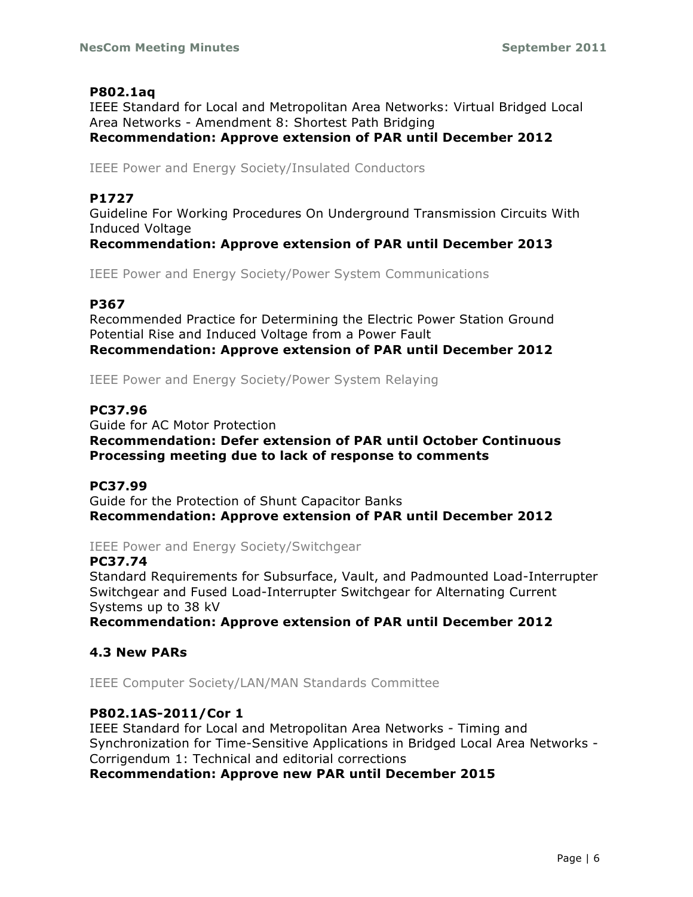# **P802.1aq**

IEEE Standard for Local and Metropolitan Area Networks: Virtual Bridged Local Area Networks - Amendment 8: Shortest Path Bridging **Recommendation: Approve extension of PAR until December 2012**

IEEE Power and Energy Society/Insulated Conductors

# **P1727**

Guideline For Working Procedures On Underground Transmission Circuits With Induced Voltage

**Recommendation: Approve extension of PAR until December 2013**

IEEE Power and Energy Society/Power System Communications

# **P367**

Recommended Practice for Determining the Electric Power Station Ground Potential Rise and Induced Voltage from a Power Fault **Recommendation: Approve extension of PAR until December 2012**

IEEE Power and Energy Society/Power System Relaying

#### **PC37.96**

Guide for AC Motor Protection **Recommendation: Defer extension of PAR until October Continuous Processing meeting due to lack of response to comments**

#### **PC37.99**

Guide for the Protection of Shunt Capacitor Banks **Recommendation: Approve extension of PAR until December 2012**

IEEE Power and Energy Society/Switchgear

#### **PC37.74**

Standard Requirements for Subsurface, Vault, and Padmounted Load-Interrupter Switchgear and Fused Load-Interrupter Switchgear for Alternating Current Systems up to 38 kV

**Recommendation: Approve extension of PAR until December 2012**

# **4.3 New PARs**

IEEE Computer Society/LAN/MAN Standards Committee

# **P802.1AS-2011/Cor 1**

IEEE Standard for Local and Metropolitan Area Networks - Timing and Synchronization for Time-Sensitive Applications in Bridged Local Area Networks - Corrigendum 1: Technical and editorial corrections

**Recommendation: Approve new PAR until December 2015**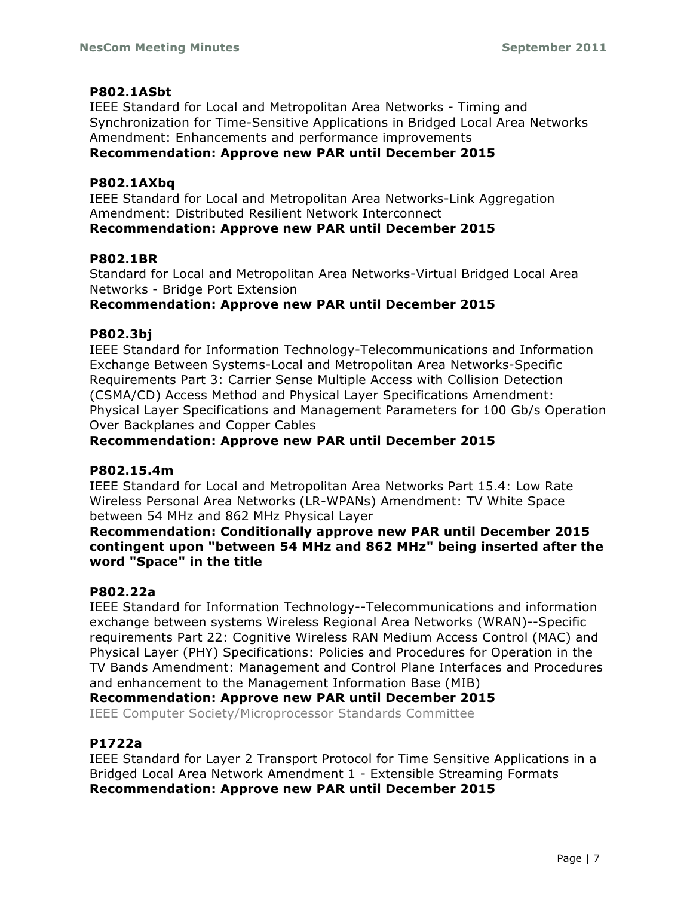# **P802.1ASbt**

IEEE Standard for Local and Metropolitan Area Networks - Timing and Synchronization for Time-Sensitive Applications in Bridged Local Area Networks Amendment: Enhancements and performance improvements **Recommendation: Approve new PAR until December 2015**

### **P802.1AXbq**

IEEE Standard for Local and Metropolitan Area Networks-Link Aggregation Amendment: Distributed Resilient Network Interconnect **Recommendation: Approve new PAR until December 2015**

#### **P802.1BR**

Standard for Local and Metropolitan Area Networks-Virtual Bridged Local Area Networks - Bridge Port Extension

# **Recommendation: Approve new PAR until December 2015**

#### **P802.3bj**

IEEE Standard for Information Technology-Telecommunications and Information Exchange Between Systems-Local and Metropolitan Area Networks-Specific Requirements Part 3: Carrier Sense Multiple Access with Collision Detection (CSMA/CD) Access Method and Physical Layer Specifications Amendment: Physical Layer Specifications and Management Parameters for 100 Gb/s Operation Over Backplanes and Copper Cables

#### **Recommendation: Approve new PAR until December 2015**

#### **P802.15.4m**

IEEE Standard for Local and Metropolitan Area Networks Part 15.4: Low Rate Wireless Personal Area Networks (LR-WPANs) Amendment: TV White Space between 54 MHz and 862 MHz Physical Layer

**Recommendation: Conditionally approve new PAR until December 2015 contingent upon "between 54 MHz and 862 MHz" being inserted after the word "Space" in the title**

#### **P802.22a**

IEEE Standard for Information Technology--Telecommunications and information exchange between systems Wireless Regional Area Networks (WRAN)--Specific requirements Part 22: Cognitive Wireless RAN Medium Access Control (MAC) and Physical Layer (PHY) Specifications: Policies and Procedures for Operation in the TV Bands Amendment: Management and Control Plane Interfaces and Procedures and enhancement to the Management Information Base (MIB)

#### **Recommendation: Approve new PAR until December 2015**

IEEE Computer Society/Microprocessor Standards Committee

# **P1722a**

IEEE Standard for Layer 2 Transport Protocol for Time Sensitive Applications in a Bridged Local Area Network Amendment 1 - Extensible Streaming Formats **Recommendation: Approve new PAR until December 2015**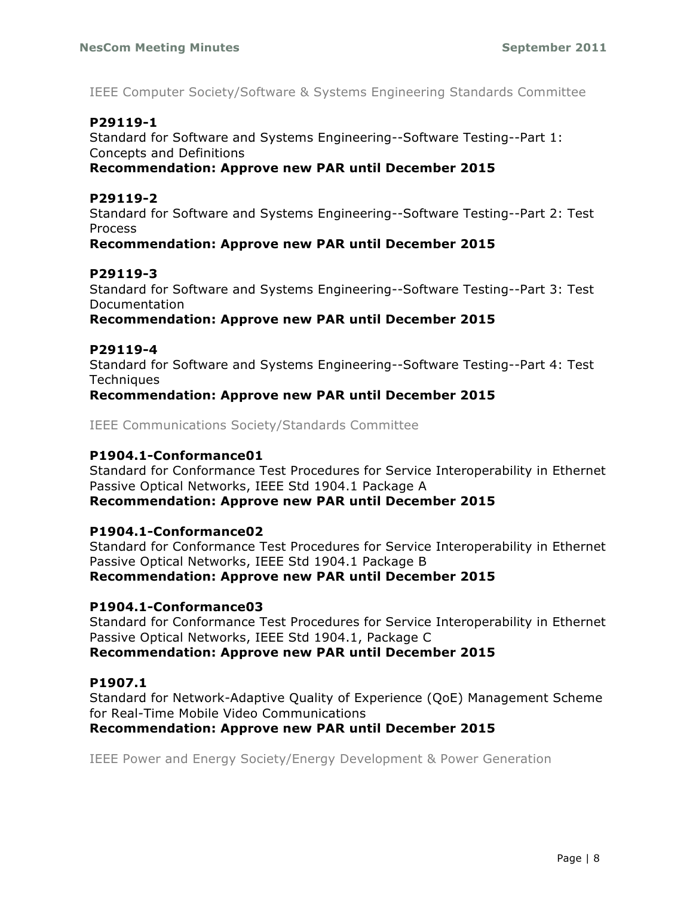IEEE Computer Society/Software & Systems Engineering Standards Committee

# **P29119-1**

Standard for Software and Systems Engineering--Software Testing--Part 1: Concepts and Definitions

# **Recommendation: Approve new PAR until December 2015**

# **P29119-2**

Standard for Software and Systems Engineering--Software Testing--Part 2: Test Process

# **Recommendation: Approve new PAR until December 2015**

# **P29119-3**

Standard for Software and Systems Engineering--Software Testing--Part 3: Test Documentation

#### **Recommendation: Approve new PAR until December 2015**

# **P29119-4**

Standard for Software and Systems Engineering--Software Testing--Part 4: Test **Techniques** 

# **Recommendation: Approve new PAR until December 2015**

IEEE Communications Society/Standards Committee

### **P1904.1-Conformance01**

Standard for Conformance Test Procedures for Service Interoperability in Ethernet Passive Optical Networks, IEEE Std 1904.1 Package A

# **Recommendation: Approve new PAR until December 2015**

# **P1904.1-Conformance02**

Standard for Conformance Test Procedures for Service Interoperability in Ethernet Passive Optical Networks, IEEE Std 1904.1 Package B **Recommendation: Approve new PAR until December 2015**

# **P1904.1-Conformance03**

Standard for Conformance Test Procedures for Service Interoperability in Ethernet Passive Optical Networks, IEEE Std 1904.1, Package C **Recommendation: Approve new PAR until December 2015**

# **P1907.1**

Standard for Network-Adaptive Quality of Experience (QoE) Management Scheme for Real-Time Mobile Video Communications

# **Recommendation: Approve new PAR until December 2015**

IEEE Power and Energy Society/Energy Development & Power Generation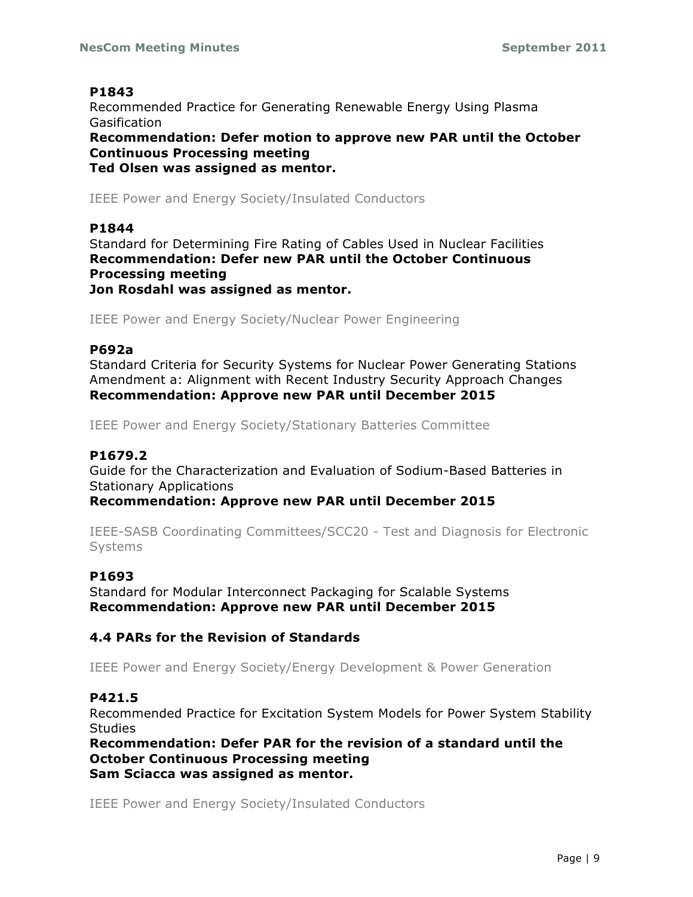Recommended Practice for Generating Renewable Energy Using Plasma Gasification **Recommendation: Defer motion to approve new PAR until the October Continuous Processing meeting Ted Olsen was assigned as mentor.**

IEEE Power and Energy Society/Insulated Conductors

# **P1844**

Standard for Determining Fire Rating of Cables Used in Nuclear Facilities **Recommendation: Defer new PAR until the October Continuous Processing meeting Jon Rosdahl was assigned as mentor.**

IEEE Power and Energy Society/Nuclear Power Engineering

# **P692a**

Standard Criteria for Security Systems for Nuclear Power Generating Stations Amendment a: Alignment with Recent Industry Security Approach Changes **Recommendation: Approve new PAR until December 2015**

IEEE Power and Energy Society/Stationary Batteries Committee

# **P1679.2**

Guide for the Characterization and Evaluation of Sodium-Based Batteries in Stationary Applications

**Recommendation: Approve new PAR until December 2015**

IEEE-SASB Coordinating Committees/SCC20 - Test and Diagnosis for Electronic Systems

# **P1693**

Standard for Modular Interconnect Packaging for Scalable Systems **Recommendation: Approve new PAR until December 2015**

# **4.4 PARs for the Revision of Standards**

IEEE Power and Energy Society/Energy Development & Power Generation

# **P421.5**

Recommended Practice for Excitation System Models for Power System Stability **Studies** 

**Recommendation: Defer PAR for the revision of a standard until the October Continuous Processing meeting Sam Sciacca was assigned as mentor.**

IEEE Power and Energy Society/Insulated Conductors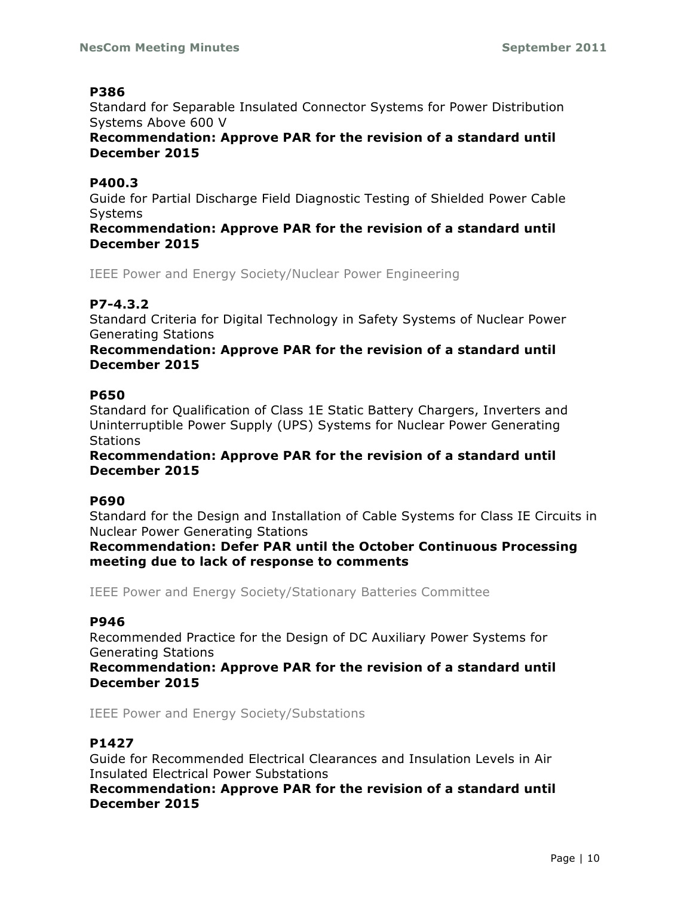Standard for Separable Insulated Connector Systems for Power Distribution Systems Above 600 V

**Recommendation: Approve PAR for the revision of a standard until December 2015**

# **P400.3**

Guide for Partial Discharge Field Diagnostic Testing of Shielded Power Cable **Systems** 

**Recommendation: Approve PAR for the revision of a standard until December 2015**

IEEE Power and Energy Society/Nuclear Power Engineering

# **P7-4.3.2**

Standard Criteria for Digital Technology in Safety Systems of Nuclear Power Generating Stations

# **Recommendation: Approve PAR for the revision of a standard until December 2015**

# **P650**

Standard for Qualification of Class 1E Static Battery Chargers, Inverters and Uninterruptible Power Supply (UPS) Systems for Nuclear Power Generating **Stations** 

**Recommendation: Approve PAR for the revision of a standard until December 2015**

# **P690**

Standard for the Design and Installation of Cable Systems for Class IE Circuits in Nuclear Power Generating Stations

**Recommendation: Defer PAR until the October Continuous Processing meeting due to lack of response to comments**

IEEE Power and Energy Society/Stationary Batteries Committee

# **P946**

Recommended Practice for the Design of DC Auxiliary Power Systems for Generating Stations

**Recommendation: Approve PAR for the revision of a standard until December 2015**

IEEE Power and Energy Society/Substations

# **P1427**

Guide for Recommended Electrical Clearances and Insulation Levels in Air Insulated Electrical Power Substations

**Recommendation: Approve PAR for the revision of a standard until December 2015**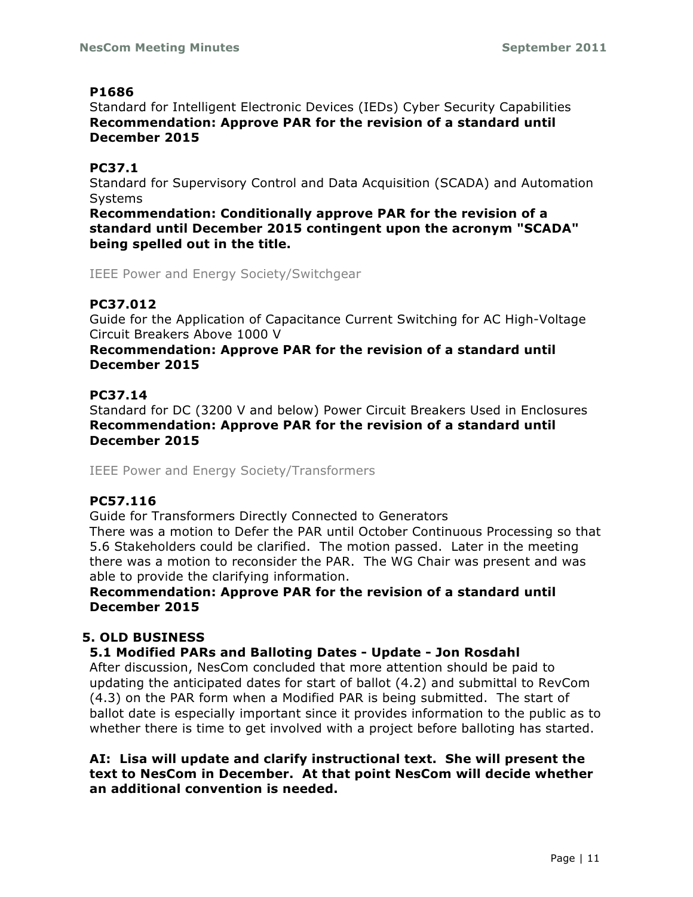Standard for Intelligent Electronic Devices (IEDs) Cyber Security Capabilities **Recommendation: Approve PAR for the revision of a standard until December 2015**

# **PC37.1**

Standard for Supervisory Control and Data Acquisition (SCADA) and Automation **Systems** 

**Recommendation: Conditionally approve PAR for the revision of a standard until December 2015 contingent upon the acronym "SCADA" being spelled out in the title.**

IEEE Power and Energy Society/Switchgear

# **PC37.012**

Guide for the Application of Capacitance Current Switching for AC High-Voltage Circuit Breakers Above 1000 V

# **Recommendation: Approve PAR for the revision of a standard until December 2015**

# **PC37.14**

Standard for DC (3200 V and below) Power Circuit Breakers Used in Enclosures **Recommendation: Approve PAR for the revision of a standard until December 2015**

IEEE Power and Energy Society/Transformers

# **PC57.116**

Guide for Transformers Directly Connected to Generators

There was a motion to Defer the PAR until October Continuous Processing so that 5.6 Stakeholders could be clarified. The motion passed. Later in the meeting there was a motion to reconsider the PAR. The WG Chair was present and was able to provide the clarifying information.

# **Recommendation: Approve PAR for the revision of a standard until December 2015**

# **5. OLD BUSINESS**

# **5.1 Modified PARs and Balloting Dates - Update - Jon Rosdahl**

After discussion, NesCom concluded that more attention should be paid to updating the anticipated dates for start of ballot (4.2) and submittal to RevCom (4.3) on the PAR form when a Modified PAR is being submitted. The start of ballot date is especially important since it provides information to the public as to whether there is time to get involved with a project before balloting has started.

**AI: Lisa will update and clarify instructional text. She will present the text to NesCom in December. At that point NesCom will decide whether an additional convention is needed.**